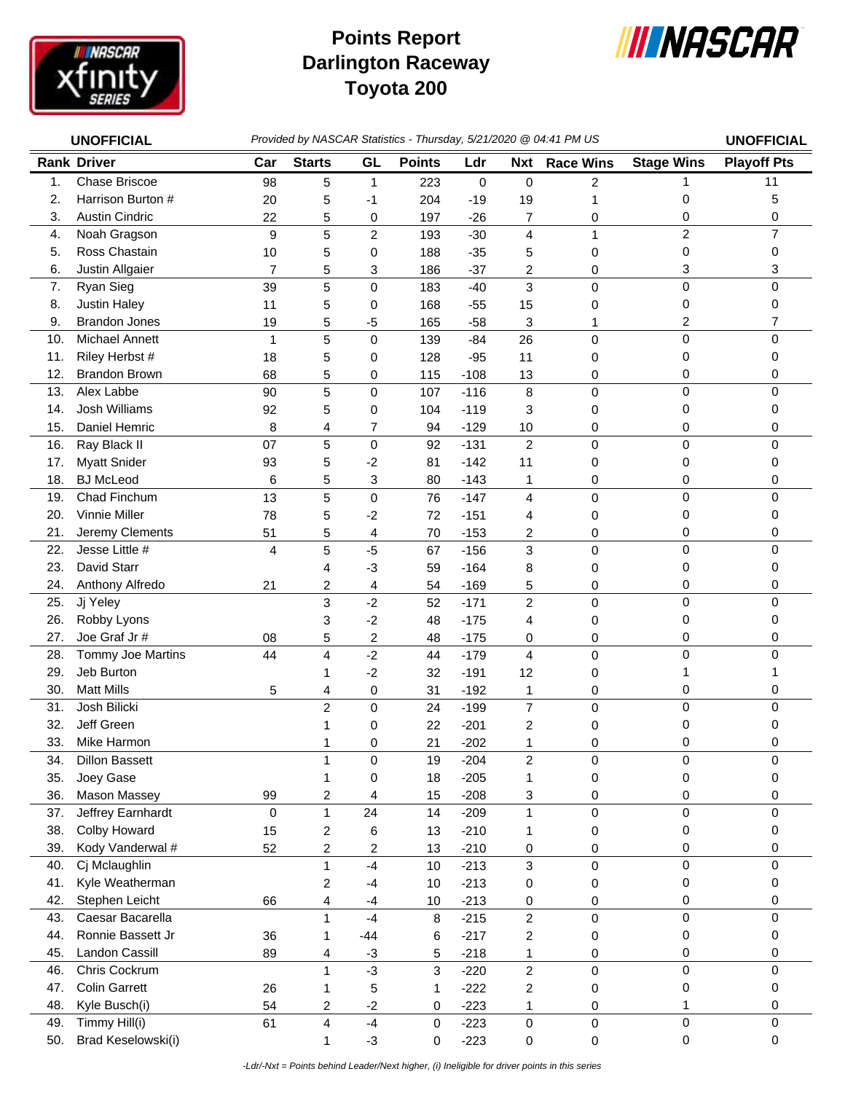

## **Darlington Raceway Toyota 200 Points Report**



| <b>UNOFFICIAL</b> |                       |                | Provided by NASCAR Statistics - Thursday, 5/21/2020 @ 04:41 PM US |                |               |             |                         |                  |                   |                    |
|-------------------|-----------------------|----------------|-------------------------------------------------------------------|----------------|---------------|-------------|-------------------------|------------------|-------------------|--------------------|
|                   | <b>Rank Driver</b>    | Car            | <b>Starts</b>                                                     | GL             | <b>Points</b> | Ldr         | <b>Nxt</b>              | <b>Race Wins</b> | <b>Stage Wins</b> | <b>Playoff Pts</b> |
| 1.                | <b>Chase Briscoe</b>  | 98             | 5                                                                 | 1              | 223           | $\mathbf 0$ | 0                       | 2                | 1                 | 11                 |
| 2.                | Harrison Burton #     | 20             | 5                                                                 | -1             | 204           | $-19$       | 19                      | 1                | 0                 | 5                  |
| 3.                | <b>Austin Cindric</b> | 22             | 5                                                                 | 0              | 197           | $-26$       | 7                       | 0                | 0                 | 0                  |
| 4.                | Noah Gragson          | 9              | 5                                                                 | $\overline{c}$ | 193           | $-30$       | $\overline{\mathbf{4}}$ | $\mathbf{1}$     | $\overline{c}$    | $\overline{7}$     |
| 5.                | Ross Chastain         | 10             | 5                                                                 | 0              | 188           | $-35$       | 5                       | 0                | 0                 | 0                  |
| 6.                | Justin Allgaier       | $\overline{7}$ | 5                                                                 | 3              | 186           | $-37$       | 2                       | 0                | 3                 | 3                  |
| 7.                | Ryan Sieg             | 39             | 5                                                                 | 0              | 183           | $-40$       | 3                       | 0                | 0                 | 0                  |
| 8.                | Justin Haley          | 11             | 5                                                                 | 0              | 168           | $-55$       | 15                      | 0                | 0                 | 0                  |
| 9.                | <b>Brandon Jones</b>  | 19             | 5                                                                 | -5             | 165           | $-58$       | 3                       | 1                | 2                 | 7                  |
| 10.               | Michael Annett        | 1              | 5                                                                 | 0              | 139           | $-84$       | 26                      | 0                | 0                 | 0                  |
| 11.               | Riley Herbst #        | 18             | 5                                                                 | 0              | 128           | $-95$       | 11                      | 0                | 0                 | 0                  |
| 12.               | <b>Brandon Brown</b>  | 68             | 5                                                                 | 0              | 115           | $-108$      | 13                      | 0                | 0                 | 0                  |
| 13.               | Alex Labbe            | 90             | 5                                                                 | 0              | 107           | $-116$      | 8                       | $\mathsf 0$      | 0                 | 0                  |
| 14.               | <b>Josh Williams</b>  | 92             | 5                                                                 | 0              | 104           | $-119$      | 3                       | 0                | 0                 | 0                  |
| 15.               | Daniel Hemric         | 8              | 4                                                                 | 7              | 94            | $-129$      | 10                      | 0                | 0                 | 0                  |
| 16.               | Ray Black II          | 07             | 5                                                                 | $\mathsf 0$    | 92            | $-131$      | $\overline{c}$          | 0                | 0                 | 0                  |
| 17.               | <b>Myatt Snider</b>   | 93             | 5                                                                 | $-2$           | 81            | $-142$      | 11                      | 0                | 0                 | 0                  |
| 18.               | <b>BJ</b> McLeod      | 6              | 5                                                                 | 3              | 80            | $-143$      | 1                       | 0                | 0                 | 0                  |
| 19.               | Chad Finchum          | 13             | 5                                                                 | $\mathsf 0$    | 76            | $-147$      | $\overline{4}$          | 0                | 0                 | 0                  |
| 20.               | Vinnie Miller         | 78             | 5                                                                 | $-2$           | 72            | $-151$      | 4                       | 0                | 0                 | 0                  |
| 21.               | Jeremy Clements       | 51             | 5                                                                 | 4              | 70            | $-153$      | 2                       | 0                | 0                 | 0                  |
| 22.               | Jesse Little #        | 4              | 5                                                                 | $-5$           | 67            | $-156$      | 3                       | 0                | 0                 | 0                  |
| 23.               | David Starr           |                | 4                                                                 | $-3$           | 59            | $-164$      | 8                       | 0                | 0                 | 0                  |
| 24.               | Anthony Alfredo       | 21             | 2                                                                 | 4              | 54            | $-169$      | 5                       | 0                | 0                 | 0                  |
| 25.               | Jj Yeley              |                | 3                                                                 | $-2$           | 52            | $-171$      | $\overline{c}$          | 0                | 0                 | 0                  |
| 26.               | Robby Lyons           |                | 3                                                                 | $-2$           | 48            | $-175$      | 4                       | 0                | 0                 | 0                  |
| 27.               | Joe Graf Jr#          | 08             | 5                                                                 | 2              | 48            | $-175$      | 0                       | 0                | 0                 | 0                  |
| 28.               | Tommy Joe Martins     | 44             | 4                                                                 | $-2$           | 44            | $-179$      | $\overline{4}$          | 0                | 0                 | 0                  |
| 29.               | Jeb Burton            |                | 1                                                                 | $-2$           | 32            | $-191$      | 12                      | 0                | 1                 | 1                  |
| 30.               | <b>Matt Mills</b>     | 5              | 4                                                                 | 0              | 31            | $-192$      | 1                       | 0                | 0                 | 0                  |
| 31.               | Josh Bilicki          |                | $\overline{c}$                                                    | 0              | 24            | $-199$      | $\overline{7}$          | 0                | 0                 | 0                  |
| 32.               | Jeff Green            |                |                                                                   | 0              | 22            | $-201$      | $\overline{c}$          | 0                | 0                 | 0                  |
| 33.               | Mike Harmon           |                | 1                                                                 | 0              | 21            | $-202$      | 1                       | 0                | 0                 | 0                  |
| 34.               | <b>Dillon Bassett</b> |                | 1                                                                 | 0              | 19            | $-204$      | 2                       | 0                | 0                 | 0                  |
| 35.               | Joey Gase             |                | 1                                                                 | 0              | 18            | $-205$      | 1                       | 0                | 0                 | 0                  |
| 36.               | Mason Massey          | 99             | 2                                                                 | 4              | 15            | $-208$      | 3                       | 0                | 0                 | 0                  |
| 37.               | Jeffrey Earnhardt     | 0              | $\mathbf{1}$                                                      | 24             | 14            | $-209$      | $\mathbf{1}$            | $\pmb{0}$        | 0                 | 0                  |
| 38.               | Colby Howard          | 15             | 2                                                                 | 6              | 13            | $-210$      | 1                       | 0                | 0                 | 0                  |
| 39.               | Kody Vanderwal #      | 52             | 2                                                                 | 2              | 13            | $-210$      | 0                       | 0                | 0                 | 0                  |
| 40.               | Cj Mclaughlin         |                | $\mathbf{1}$                                                      | $-4$           | 10            | $-213$      | 3                       | 0                | 0                 | 0                  |
| 41.               | Kyle Weatherman       |                | 2                                                                 | $-4$           | 10            | $-213$      | 0                       | 0                | 0                 | 0                  |
| 42.               | Stephen Leicht        | 66             | 4                                                                 | $-4$           | 10            | $-213$      | 0                       | $\pmb{0}$        | 0                 | 0                  |
| 43.               | Caesar Bacarella      |                | $\mathbf{1}$                                                      | $-4$           | 8             | $-215$      | $\overline{2}$          | 0                | 0                 | 0                  |
| 44.               | Ronnie Bassett Jr     | 36             | 1                                                                 | $-44$          | 6             | $-217$      | $\overline{c}$          | 0                | 0                 | 0                  |
| 45.               | Landon Cassill        | 89             | 4                                                                 | $-3$           | 5             | $-218$      | 1                       | 0                | 0                 | 0                  |
| 46.               | Chris Cockrum         |                | 1                                                                 | $-3$           | 3             | $-220$      | $\overline{c}$          | $\pmb{0}$        | 0                 | 0                  |
| 47.               | <b>Colin Garrett</b>  | 26             | 1                                                                 | 5              | 1             | $-222$      | $\overline{\mathbf{c}}$ | 0                | 0                 | 0                  |
| 48.               | Kyle Busch(i)         | 54             | 2                                                                 | $-2$           | 0             | $-223$      | 1                       | 0                | 1                 | 0                  |
| 49.               | Timmy Hill(i)         | 61             | 4                                                                 | $-4$           | 0             | $-223$      | 0                       | $\pmb{0}$        | 0                 | 0                  |
| 50.               | Brad Keselowski(i)    |                | 1                                                                 | $-3$           | 0             | $-223$      | $\pmb{0}$               | $\pmb{0}$        | 0                 | 0                  |